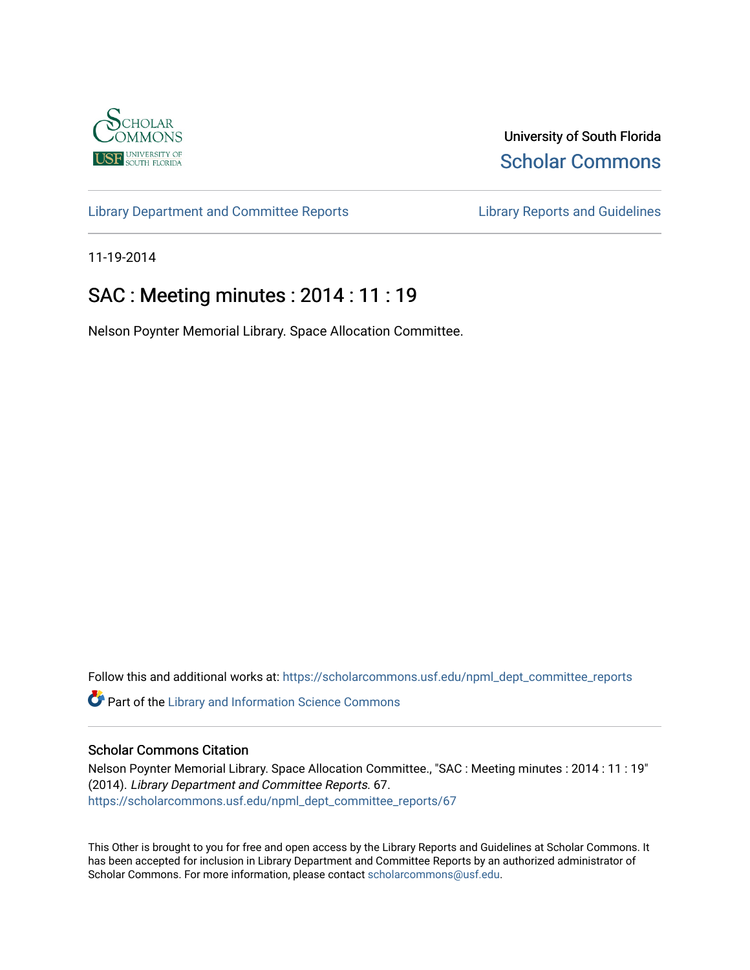

University of South Florida [Scholar Commons](https://scholarcommons.usf.edu/) 

[Library Department and Committee Reports](https://scholarcommons.usf.edu/npml_dept_committee_reports) [Library Reports and Guidelines](https://scholarcommons.usf.edu/npml_reports_guidelines_instruct_materials) 

11-19-2014

# SAC : Meeting minutes : 2014 : 11 : 19

Nelson Poynter Memorial Library. Space Allocation Committee.

Follow this and additional works at: [https://scholarcommons.usf.edu/npml\\_dept\\_committee\\_reports](https://scholarcommons.usf.edu/npml_dept_committee_reports?utm_source=scholarcommons.usf.edu%2Fnpml_dept_committee_reports%2F67&utm_medium=PDF&utm_campaign=PDFCoverPages)

Part of the [Library and Information Science Commons](http://network.bepress.com/hgg/discipline/1018?utm_source=scholarcommons.usf.edu%2Fnpml_dept_committee_reports%2F67&utm_medium=PDF&utm_campaign=PDFCoverPages) 

## Scholar Commons Citation

Nelson Poynter Memorial Library. Space Allocation Committee., "SAC : Meeting minutes : 2014 : 11 : 19" (2014). Library Department and Committee Reports. 67. [https://scholarcommons.usf.edu/npml\\_dept\\_committee\\_reports/67](https://scholarcommons.usf.edu/npml_dept_committee_reports/67?utm_source=scholarcommons.usf.edu%2Fnpml_dept_committee_reports%2F67&utm_medium=PDF&utm_campaign=PDFCoverPages) 

This Other is brought to you for free and open access by the Library Reports and Guidelines at Scholar Commons. It has been accepted for inclusion in Library Department and Committee Reports by an authorized administrator of Scholar Commons. For more information, please contact [scholarcommons@usf.edu](mailto:scholarcommons@usf.edu).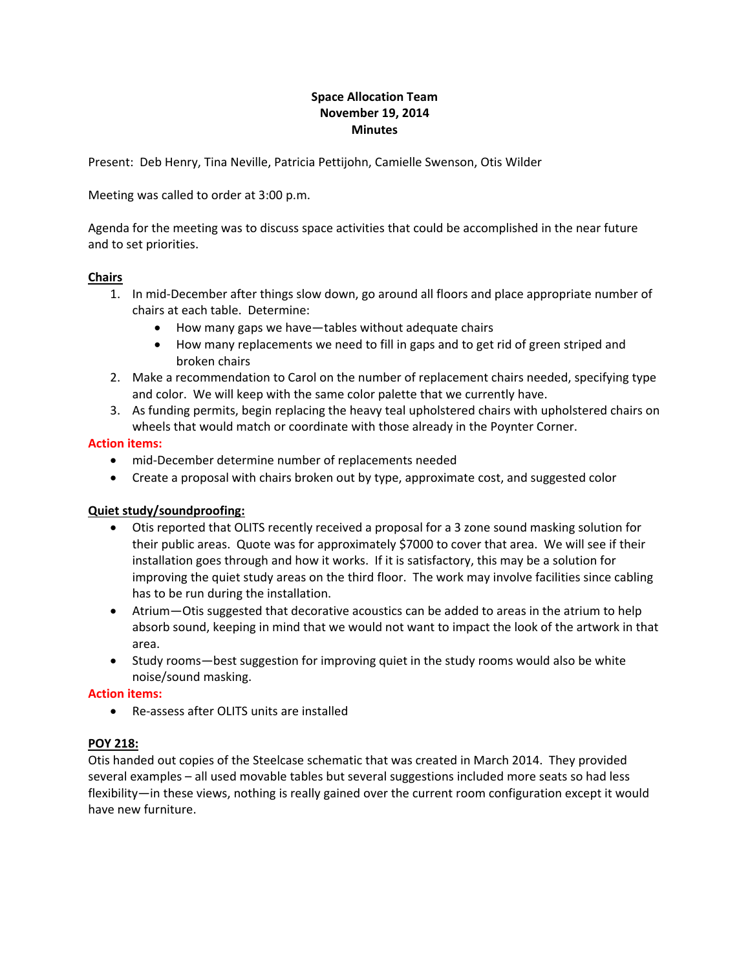# **Space Allocation Team November 19, 2014 Minutes**

Present: Deb Henry, Tina Neville, Patricia Pettijohn, Camielle Swenson, Otis Wilder

Meeting was called to order at 3:00 p.m.

Agenda for the meeting was to discuss space activities that could be accomplished in the near future and to set priorities.

#### **Chairs**

- 1. In mid‐December after things slow down, go around all floors and place appropriate number of chairs at each table. Determine:
	- How many gaps we have—tables without adequate chairs
	- How many replacements we need to fill in gaps and to get rid of green striped and broken chairs
- 2. Make a recommendation to Carol on the number of replacement chairs needed, specifying type and color. We will keep with the same color palette that we currently have.
- 3. As funding permits, begin replacing the heavy teal upholstered chairs with upholstered chairs on wheels that would match or coordinate with those already in the Poynter Corner.

#### **Action items:**

- mid-December determine number of replacements needed
- Create a proposal with chairs broken out by type, approximate cost, and suggested color

## **Quiet study/soundproofing:**

- Otis reported that OLITS recently received a proposal for a 3 zone sound masking solution for their public areas. Quote was for approximately \$7000 to cover that area. We will see if their installation goes through and how it works. If it is satisfactory, this may be a solution for improving the quiet study areas on the third floor. The work may involve facilities since cabling has to be run during the installation.
- Atrium—Otis suggested that decorative acoustics can be added to areas in the atrium to help absorb sound, keeping in mind that we would not want to impact the look of the artwork in that area.
- Study rooms—best suggestion for improving quiet in the study rooms would also be white noise/sound masking.

#### **Action items:**

● Re-assess after OLITS units are installed

#### **POY 218:**

Otis handed out copies of the Steelcase schematic that was created in March 2014. They provided several examples – all used movable tables but several suggestions included more seats so had less flexibility—in these views, nothing is really gained over the current room configuration except it would have new furniture.